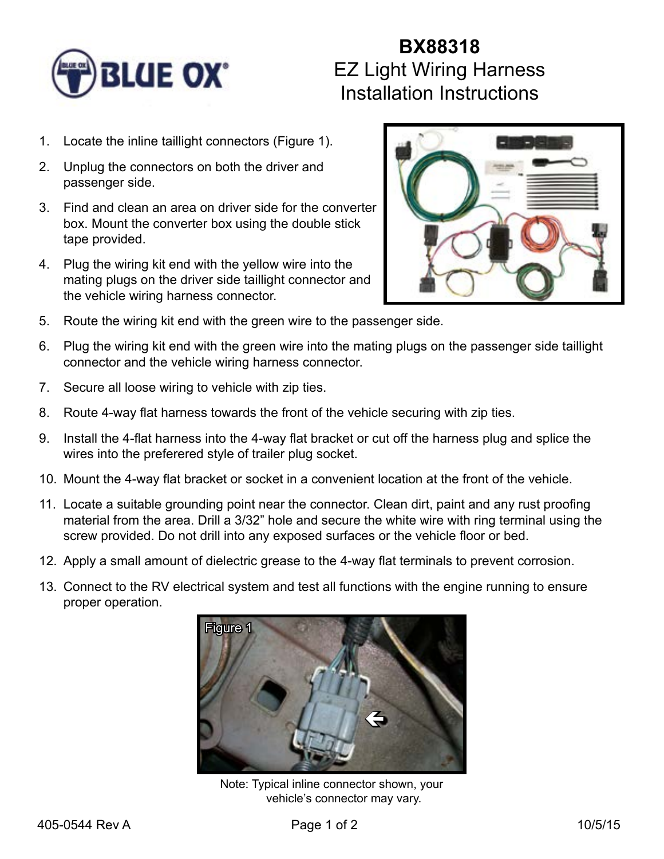

## **BX88318** EZ Light Wiring Harness Installation Instructions

- 1. Locate the inline taillight connectors (Figure 1).
- 2. Unplug the connectors on both the driver and passenger side.
- 3. Find and clean an area on driver side for the converter box. Mount the converter box using the double stick tape provided.
- 4. Plug the wiring kit end with the yellow wire into the mating plugs on the driver side taillight connector and the vehicle wiring harness connector.



- 5. Route the wiring kit end with the green wire to the passenger side.
- 6. Plug the wiring kit end with the green wire into the mating plugs on the passenger side taillight connector and the vehicle wiring harness connector.
- 7. Secure all loose wiring to vehicle with zip ties.
- 8. Route 4-way flat harness towards the front of the vehicle securing with zip ties.
- 9. Install the 4-flat harness into the 4-way flat bracket or cut off the harness plug and splice the wires into the preferered style of trailer plug socket.
- 10. Mount the 4-way flat bracket or socket in a convenient location at the front of the vehicle.
- 11. Locate a suitable grounding point near the connector. Clean dirt, paint and any rust proofing material from the area. Drill a 3/32" hole and secure the white wire with ring terminal using the screw provided. Do not drill into any exposed surfaces or the vehicle floor or bed.
- 12. Apply a small amount of dielectric grease to the 4-way flat terminals to prevent corrosion.
- 13. Connect to the RV electrical system and test all functions with the engine running to ensure proper operation.



Note: Typical inline connector shown, your vehicle's connector may vary.